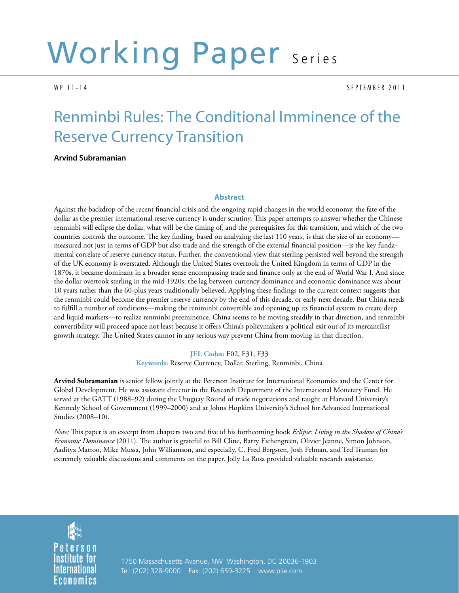# Working Paper Series

WP 11-14 SEPTEMBER 2011

# Renminbi Rules: The Conditional Imminence of the Reserve Currency Transition

#### **Arvind Subramanian**

#### **Abstract**

Against the backdrop of the recent financial crisis and the ongoing rapid changes in the world economy, the fate of the dollar as the premier international reserve currency is under scrutiny. This paper attempts to answer whether the Chinese renminbi will eclipse the dollar, what will be the timing of, and the prerequisites for this transition, and which of the two countries controls the outcome. The key finding, based on analyzing the last 110 years, is that the size of an economy measured not just in terms of GDP but also trade and the strength of the external financial position—is the key fundamental correlate of reserve currency status. Further, the conventional view that sterling persisted well beyond the strength of the UK economy is overstated. Although the United States overtook the United Kingdom in terms of GDP in the 1870s, it became dominant in a broader sense encompassing trade and finance only at the end of World War I. And since the dollar overtook sterling in the mid-1920s, the lag between currency dominance and economic dominance was about 10 years rather than the 60-plus years traditionally believed. Applying these findings to the current context suggests that the renminbi could become the premier reserve currency by the end of this decade, or early next decade. But China needs to fulfill a number of conditions—making the reniminbi convertible and opening up its financial system to create deep and liquid markets—to realize renminbi preeminence. China seems to be moving steadily in that direction, and renminbi convertibility will proceed apace not least because it offers China's policymakers a political exit out of its mercantilist growth strategy. The United States cannot in any serious way prevent China from moving in that direction.

#### **JEL Codes:** F02, F31, F33

**Keywords:** Reserve Currency, Dollar, Sterling, Renminbi, China

**Arvind Subramanian** is senior fellow jointly at the Peterson Institute for International Economics and the Center for Global Development. He was assistant director in the Research Department of the International Monetary Fund. He served at the GATT (1988–92) during the Uruguay Round of trade negotiations and taught at Harvard University's Kennedy School of Government (1999–2000) and at Johns Hopkins University's School for Advanced International Studies (2008–10).

*Note:* This paper is an excerpt from chapters two and five of his forthcoming book *Eclipse: Living in the Shadow of China's Economic Dominance* (2011). The author is grateful to Bill Cline, Barry Eichengreen, Olivier Jeanne, Simon Johnson, Aaditya Mattoo, Mike Mussa, John Williamson, and especially, C. Fred Bergsten, Josh Felman, and Ted Truman for extremely valuable discussions and comments on the paper. Jolly La Rosa provided valuable research assistance.

Peterson **Institute for International** Economics

1750 Massachusetts Avenue, NW Washington, DC 20036-1903 Tel: (202) 328-9000 Fax: (202) 659-3225 www.piie.com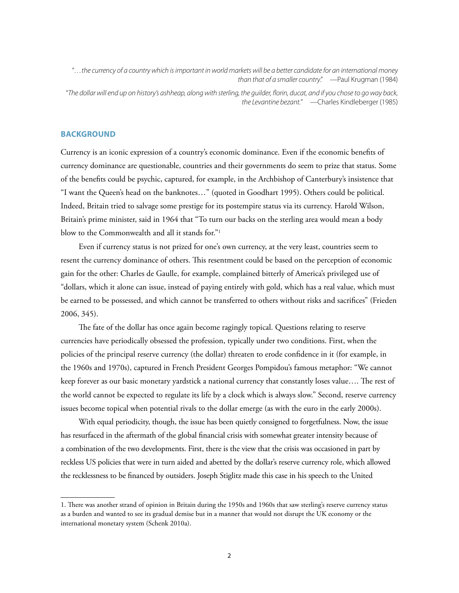"*…the currency of a country which is important in world markets will be a better candidate for an international money than that of a smaller country*." —Paul Krugman (1984)

"*The dollar will end up on history's ashheap, along with sterling, the guilder, florin, ducat, and if you chose to go way back, the Levantine bezant.*" —Charles Kindleberger (1985)

#### **Background**

Currency is an iconic expression of a country's economic dominance. Even if the economic benefits of currency dominance are questionable, countries and their governments do seem to prize that status. Some of the benefits could be psychic, captured, for example, in the Archbishop of Canterbury's insistence that "I want the Queen's head on the banknotes…" (quoted in Goodhart 1995). Others could be political. Indeed, Britain tried to salvage some prestige for its postempire status via its currency. Harold Wilson, Britain's prime minister, said in 1964 that "To turn our backs on the sterling area would mean a body blow to the Commonwealth and all it stands for."1

Even if currency status is not prized for one's own currency, at the very least, countries seem to resent the currency dominance of others. This resentment could be based on the perception of economic gain for the other: Charles de Gaulle, for example, complained bitterly of America's privileged use of "dollars, which it alone can issue, instead of paying entirely with gold, which has a real value, which must be earned to be possessed, and which cannot be transferred to others without risks and sacrifices" (Frieden 2006, 345).

The fate of the dollar has once again become ragingly topical. Questions relating to reserve currencies have periodically obsessed the profession, typically under two conditions. First, when the policies of the principal reserve currency (the dollar) threaten to erode confidence in it (for example, in the 1960s and 1970s), captured in French President Georges Pompidou's famous metaphor: "We cannot keep forever as our basic monetary yardstick a national currency that constantly loses value…. The rest of the world cannot be expected to regulate its life by a clock which is always slow." Second, reserve currency issues become topical when potential rivals to the dollar emerge (as with the euro in the early 2000s).

With equal periodicity, though, the issue has been quietly consigned to forgetfulness. Now, the issue has resurfaced in the aftermath of the global financial crisis with somewhat greater intensity because of a combination of the two developments. First, there is the view that the crisis was occasioned in part by reckless US policies that were in turn aided and abetted by the dollar's reserve currency role, which allowed the recklessness to be financed by outsiders. Joseph Stiglitz made this case in his speech to the United

<sup>1.</sup> There was another strand of opinion in Britain during the 1950s and 1960s that saw sterling's reserve currency status as a burden and wanted to see its gradual demise but in a manner that would not disrupt the UK economy or the international monetary system (Schenk 2010a).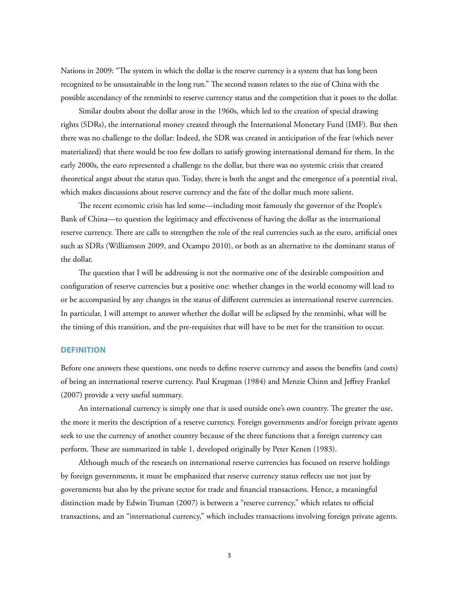Nations in 2009: "The system in which the dollar is the reserve currency is a system that has long been recognized to be unsustainable in the long run." The second reason relates to the rise of China with the possible ascendancy of the renminbi to reserve currency status and the competition that it poses to the dollar.

Similar doubts about the dollar arose in the 1960s, which led to the creation of special drawing rights (SDRs), the international money created through the International Monetary Fund (IMF). But then there was no challenge to the dollar: Indeed, the SDR was created in anticipation of the fear (which never materialized) that there would be too few dollars to satisfy growing international demand for them. In the early 2000s, the euro represented a challenge to the dollar, but there was no systemic crisis that created theoretical angst about the status quo. Today, there is both the angst and the emergence of a potential rival, which makes discussions about reserve currency and the fate of the dollar much more salient.

The recent economic crisis has led some—including most famously the governor of the People's Bank of China—to question the legitimacy and effectiveness of having the dollar as the international reserve currency. There are calls to strengthen the role of the real currencies such as the euro, artificial ones such as SDRs (Williamson 2009, and Ocampo 2010), or both as an alternative to the dominant status of the dollar.

The question that I will be addressing is not the normative one of the desirable composition and configuration of reserve currencies but a positive one: whether changes in the world economy will lead to or be accompanied by any changes in the status of different currencies as international reserve currencies. In particular, I will attempt to answer whether the dollar will be eclipsed by the renminbi, what will be the timing of this transition, and the pre-requisites that will have to be met for the transition to occur.

#### **Definition**

Before one answers these questions, one needs to define reserve currency and assess the benefits (and costs) of being an international reserve currency. Paul Krugman (1984) and Menzie Chinn and Jeffrey Frankel (2007) provide a very useful summary.

An international currency is simply one that is used outside one's own country. The greater the use, the more it merits the description of a reserve currency. Foreign governments and/or foreign private agents seek to use the currency of another country because of the three functions that a foreign currency can perform. These are summarized in table 1, developed originally by Peter Kenen (1983).

Although much of the research on international reserve currencies has focused on reserve holdings by foreign governments, it must be emphasized that reserve currency status reflects use not just by governments but also by the private sector for trade and financial transactions. Hence, a meaningful distinction made by Edwin Truman (2007) is between a "reserve currency," which relates to official transactions, and an "international currency," which includes transactions involving foreign private agents.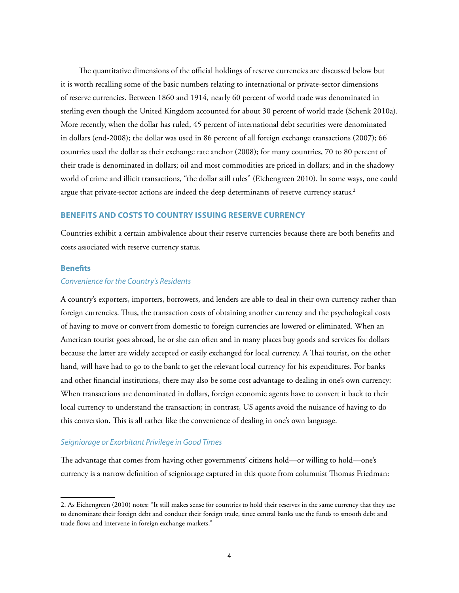The quantitative dimensions of the official holdings of reserve currencies are discussed below but it is worth recalling some of the basic numbers relating to international or private-sector dimensions of reserve currencies. Between 1860 and 1914, nearly 60 percent of world trade was denominated in sterling even though the United Kingdom accounted for about 30 percent of world trade (Schenk 2010a). More recently, when the dollar has ruled, 45 percent of international debt securities were denominated in dollars (end-2008); the dollar was used in 86 percent of all foreign exchange transactions (2007); 66 countries used the dollar as their exchange rate anchor (2008); for many countries, 70 to 80 percent of their trade is denominated in dollars; oil and most commodities are priced in dollars; and in the shadowy world of crime and illicit transactions, "the dollar still rules" (Eichengreen 2010). In some ways, one could argue that private-sector actions are indeed the deep determinants of reserve currency status.<sup>2</sup>

# **Benefits and Costs to Country Issuing Reserve Currency**

Countries exhibit a certain ambivalence about their reserve currencies because there are both benefits and costs associated with reserve currency status.

#### **Benefits**

#### *Convenience for the Country's Residents*

A country's exporters, importers, borrowers, and lenders are able to deal in their own currency rather than foreign currencies. Thus, the transaction costs of obtaining another currency and the psychological costs of having to move or convert from domestic to foreign currencies are lowered or eliminated. When an American tourist goes abroad, he or she can often and in many places buy goods and services for dollars because the latter are widely accepted or easily exchanged for local currency. A Thai tourist, on the other hand, will have had to go to the bank to get the relevant local currency for his expenditures. For banks and other financial institutions, there may also be some cost advantage to dealing in one's own currency: When transactions are denominated in dollars, foreign economic agents have to convert it back to their local currency to understand the transaction; in contrast, US agents avoid the nuisance of having to do this conversion. This is all rather like the convenience of dealing in one's own language.

#### *Seigniorage or Exorbitant Privilege in Good Times*

The advantage that comes from having other governments' citizens hold—or willing to hold—one's currency is a narrow definition of seigniorage captured in this quote from columnist Thomas Friedman:

<sup>2.</sup> As Eichengreen (2010) notes: "It still makes sense for countries to hold their reserves in the same currency that they use to denominate their foreign debt and conduct their foreign trade, since central banks use the funds to smooth debt and trade flows and intervene in foreign exchange markets."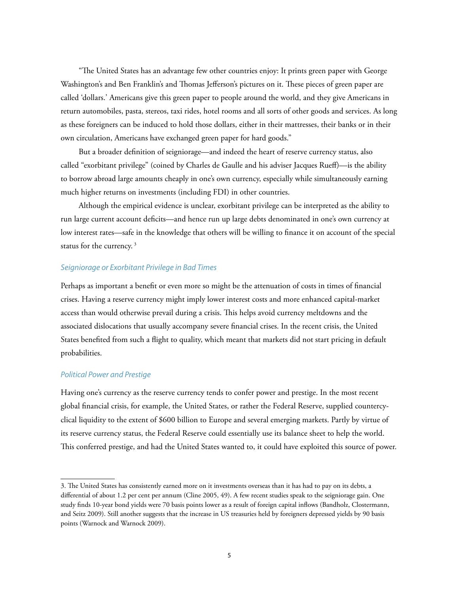"The United States has an advantage few other countries enjoy: It prints green paper with George Washington's and Ben Franklin's and Thomas Jefferson's pictures on it. These pieces of green paper are called 'dollars.' Americans give this green paper to people around the world, and they give Americans in return automobiles, pasta, stereos, taxi rides, hotel rooms and all sorts of other goods and services. As long as these foreigners can be induced to hold those dollars, either in their mattresses, their banks or in their own circulation, Americans have exchanged green paper for hard goods."

But a broader definition of seigniorage—and indeed the heart of reserve currency status, also called "exorbitant privilege" (coined by Charles de Gaulle and his adviser Jacques Rueff)—is the ability to borrow abroad large amounts cheaply in one's own currency, especially while simultaneously earning much higher returns on investments (including FDI) in other countries.

Although the empirical evidence is unclear, exorbitant privilege can be interpreted as the ability to run large current account deficits—and hence run up large debts denominated in one's own currency at low interest rates—safe in the knowledge that others will be willing to finance it on account of the special status for the currency. 3

# *Seigniorage or Exorbitant Privilege in Bad Times*

Perhaps as important a benefit or even more so might be the attenuation of costs in times of financial crises. Having a reserve currency might imply lower interest costs and more enhanced capital-market access than would otherwise prevail during a crisis. This helps avoid currency meltdowns and the associated dislocations that usually accompany severe financial crises. In the recent crisis, the United States benefited from such a flight to quality, which meant that markets did not start pricing in default probabilities.

# *Political Power and Prestige*

Having one's currency as the reserve currency tends to confer power and prestige. In the most recent global financial crisis, for example, the United States, or rather the Federal Reserve, supplied countercyclical liquidity to the extent of \$600 billion to Europe and several emerging markets. Partly by virtue of its reserve currency status, the Federal Reserve could essentially use its balance sheet to help the world. This conferred prestige, and had the United States wanted to, it could have exploited this source of power.

<sup>3.</sup> The United States has consistently earned more on it investments overseas than it has had to pay on its debts, a differential of about 1.2 per cent per annum (Cline 2005, 49). A few recent studies speak to the seigniorage gain. One study finds 10-year bond yields were 70 basis points lower as a result of foreign capital inflows (Bandholz, Clostermann, and Seitz 2009). Still another suggests that the increase in US treasuries held by foreigners depressed yields by 90 basis points (Warnock and Warnock 2009).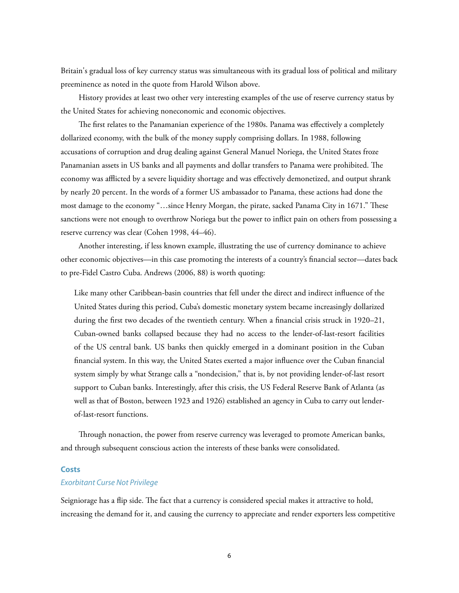Britain's gradual loss of key currency status was simultaneous with its gradual loss of political and military preeminence as noted in the quote from Harold Wilson above.

History provides at least two other very interesting examples of the use of reserve currency status by the United States for achieving noneconomic and economic objectives.

The first relates to the Panamanian experience of the 1980s. Panama was effectively a completely dollarized economy, with the bulk of the money supply comprising dollars. In 1988, following accusations of corruption and drug dealing against General Manuel Noriega, the United States froze Panamanian assets in US banks and all payments and dollar transfers to Panama were prohibited. The economy was afflicted by a severe liquidity shortage and was effectively demonetized, and output shrank by nearly 20 percent. In the words of a former US ambassador to Panama, these actions had done the most damage to the economy "…since Henry Morgan, the pirate, sacked Panama City in 1671." These sanctions were not enough to overthrow Noriega but the power to inflict pain on others from possessing a reserve currency was clear (Cohen 1998, 44–46).

Another interesting, if less known example, illustrating the use of currency dominance to achieve other economic objectives—in this case promoting the interests of a country's financial sector—dates back to pre-Fidel Castro Cuba. Andrews (2006, 88) is worth quoting:

Like many other Caribbean-basin countries that fell under the direct and indirect influence of the United States during this period, Cuba's domestic monetary system became increasingly dollarized during the first two decades of the twentieth century. When a financial crisis struck in 1920–21, Cuban-owned banks collapsed because they had no access to the lender-of-last-resort facilities of the US central bank. US banks then quickly emerged in a dominant position in the Cuban financial system. In this way, the United States exerted a major influence over the Cuban financial system simply by what Strange calls a "nondecision," that is, by not providing lender-of-last resort support to Cuban banks. Interestingly, after this crisis, the US Federal Reserve Bank of Atlanta (as well as that of Boston, between 1923 and 1926) established an agency in Cuba to carry out lenderof-last-resort functions.

Through nonaction, the power from reserve currency was leveraged to promote American banks, and through subsequent conscious action the interests of these banks were consolidated.

# **Costs**

#### *Exorbitant Curse Not Privilege*

Seigniorage has a flip side. The fact that a currency is considered special makes it attractive to hold, increasing the demand for it, and causing the currency to appreciate and render exporters less competitive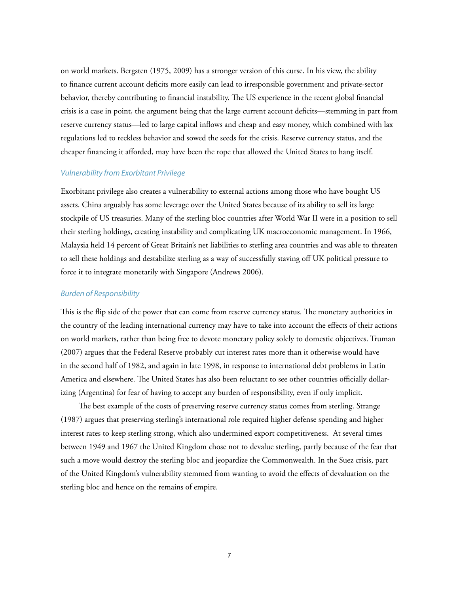on world markets. Bergsten (1975, 2009) has a stronger version of this curse. In his view, the ability to finance current account deficits more easily can lead to irresponsible government and private-sector behavior, thereby contributing to financial instability. The US experience in the recent global financial crisis is a case in point, the argument being that the large current account deficits—stemming in part from reserve currency status—led to large capital inflows and cheap and easy money, which combined with lax regulations led to reckless behavior and sowed the seeds for the crisis. Reserve currency status, and the cheaper financing it afforded, may have been the rope that allowed the United States to hang itself.

# *Vulnerability from Exorbitant Privilege*

Exorbitant privilege also creates a vulnerability to external actions among those who have bought US assets. China arguably has some leverage over the United States because of its ability to sell its large stockpile of US treasuries. Many of the sterling bloc countries after World War II were in a position to sell their sterling holdings, creating instability and complicating UK macroeconomic management. In 1966, Malaysia held 14 percent of Great Britain's net liabilities to sterling area countries and was able to threaten to sell these holdings and destabilize sterling as a way of successfully staving off UK political pressure to force it to integrate monetarily with Singapore (Andrews 2006).

#### *Burden of Responsibility*

This is the flip side of the power that can come from reserve currency status. The monetary authorities in the country of the leading international currency may have to take into account the effects of their actions on world markets, rather than being free to devote monetary policy solely to domestic objectives. Truman (2007) argues that the Federal Reserve probably cut interest rates more than it otherwise would have in the second half of 1982, and again in late 1998, in response to international debt problems in Latin America and elsewhere. The United States has also been reluctant to see other countries officially dollarizing (Argentina) for fear of having to accept any burden of responsibility, even if only implicit.

The best example of the costs of preserving reserve currency status comes from sterling. Strange (1987) argues that preserving sterling's international role required higher defense spending and higher interest rates to keep sterling strong, which also undermined export competitiveness. At several times between 1949 and 1967 the United Kingdom chose not to devalue sterling, partly because of the fear that such a move would destroy the sterling bloc and jeopardize the Commonwealth. In the Suez crisis, part of the United Kingdom's vulnerability stemmed from wanting to avoid the effects of devaluation on the sterling bloc and hence on the remains of empire.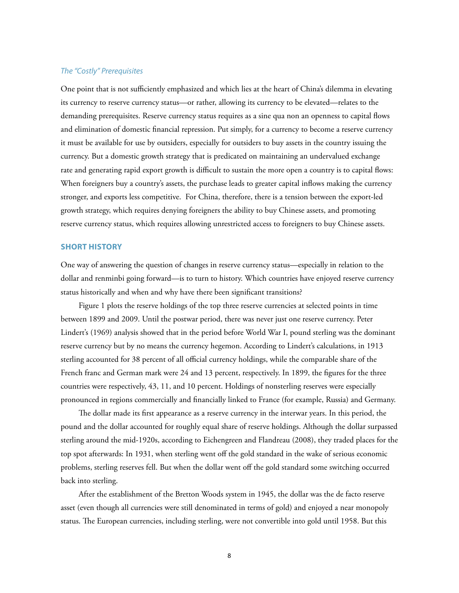# *The "Costly" Prerequisites*

One point that is not sufficiently emphasized and which lies at the heart of China's dilemma in elevating its currency to reserve currency status—or rather, allowing its currency to be elevated—relates to the demanding prerequisites. Reserve currency status requires as a sine qua non an openness to capital flows and elimination of domestic financial repression. Put simply, for a currency to become a reserve currency it must be available for use by outsiders, especially for outsiders to buy assets in the country issuing the currency. But a domestic growth strategy that is predicated on maintaining an undervalued exchange rate and generating rapid export growth is difficult to sustain the more open a country is to capital flows: When foreigners buy a country's assets, the purchase leads to greater capital inflows making the currency stronger, and exports less competitive. For China, therefore, there is a tension between the export-led growth strategy, which requires denying foreigners the ability to buy Chinese assets, and promoting reserve currency status, which requires allowing unrestricted access to foreigners to buy Chinese assets.

# **Short History**

One way of answering the question of changes in reserve currency status—especially in relation to the dollar and renminbi going forward—is to turn to history. Which countries have enjoyed reserve currency status historically and when and why have there been significant transitions?

Figure 1 plots the reserve holdings of the top three reserve currencies at selected points in time between 1899 and 2009. Until the postwar period, there was never just one reserve currency. Peter Lindert's (1969) analysis showed that in the period before World War I, pound sterling was the dominant reserve currency but by no means the currency hegemon. According to Lindert's calculations, in 1913 sterling accounted for 38 percent of all official currency holdings, while the comparable share of the French franc and German mark were 24 and 13 percent, respectively. In 1899, the figures for the three countries were respectively, 43, 11, and 10 percent. Holdings of nonsterling reserves were especially pronounced in regions commercially and financially linked to France (for example, Russia) and Germany.

The dollar made its first appearance as a reserve currency in the interwar years. In this period, the pound and the dollar accounted for roughly equal share of reserve holdings. Although the dollar surpassed sterling around the mid-1920s, according to Eichengreen and Flandreau (2008), they traded places for the top spot afterwards: In 1931, when sterling went off the gold standard in the wake of serious economic problems, sterling reserves fell. But when the dollar went off the gold standard some switching occurred back into sterling.

After the establishment of the Bretton Woods system in 1945, the dollar was the de facto reserve asset (even though all currencies were still denominated in terms of gold) and enjoyed a near monopoly status. The European currencies, including sterling, were not convertible into gold until 1958. But this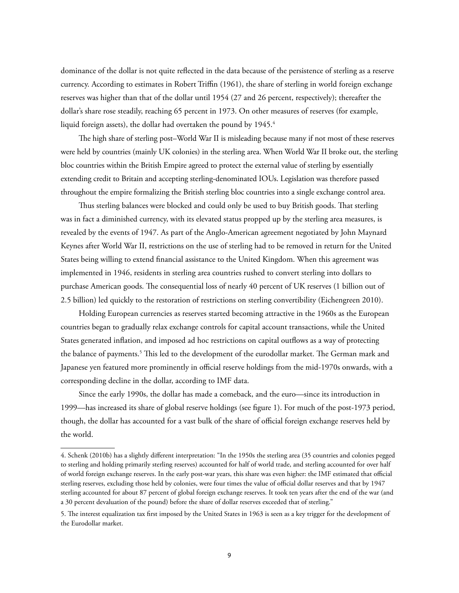dominance of the dollar is not quite reflected in the data because of the persistence of sterling as a reserve currency. According to estimates in Robert Triffin (1961), the share of sterling in world foreign exchange reserves was higher than that of the dollar until 1954 (27 and 26 percent, respectively); thereafter the dollar's share rose steadily, reaching 65 percent in 1973. On other measures of reserves (for example, liquid foreign assets), the dollar had overtaken the pound by 1945.<sup>4</sup>

The high share of sterling post–World War II is misleading because many if not most of these reserves were held by countries (mainly UK colonies) in the sterling area. When World War II broke out, the sterling bloc countries within the British Empire agreed to protect the external value of sterling by essentially extending credit to Britain and accepting sterling-denominated IOUs. Legislation was therefore passed throughout the empire formalizing the British sterling bloc countries into a single exchange control area.

Thus sterling balances were blocked and could only be used to buy British goods. That sterling was in fact a diminished currency, with its elevated status propped up by the sterling area measures, is revealed by the events of 1947. As part of the Anglo-American agreement negotiated by John Maynard Keynes after World War II, restrictions on the use of sterling had to be removed in return for the United States being willing to extend financial assistance to the United Kingdom. When this agreement was implemented in 1946, residents in sterling area countries rushed to convert sterling into dollars to purchase American goods. The consequential loss of nearly 40 percent of UK reserves (1 billion out of 2.5 billion) led quickly to the restoration of restrictions on sterling convertibility (Eichengreen 2010).

Holding European currencies as reserves started becoming attractive in the 1960s as the European countries began to gradually relax exchange controls for capital account transactions, while the United States generated inflation, and imposed ad hoc restrictions on capital outflows as a way of protecting the balance of payments.<sup>5</sup> This led to the development of the eurodollar market. The German mark and Japanese yen featured more prominently in official reserve holdings from the mid-1970s onwards, with a corresponding decline in the dollar, according to IMF data.

Since the early 1990s, the dollar has made a comeback, and the euro—since its introduction in 1999—has increased its share of global reserve holdings (see figure 1). For much of the post-1973 period, though, the dollar has accounted for a vast bulk of the share of official foreign exchange reserves held by the world.

<sup>4.</sup> Schenk (2010b) has a slightly different interpretation: "In the 1950s the sterling area (35 countries and colonies pegged to sterling and holding primarily sterling reserves) accounted for half of world trade, and sterling accounted for over half of world foreign exchange reserves. In the early post-war years, this share was even higher: the IMF estimated that official sterling reserves, excluding those held by colonies, were four times the value of official dollar reserves and that by 1947 sterling accounted for about 87 percent of global foreign exchange reserves. It took ten years after the end of the war (and a 30 percent devaluation of the pound) before the share of dollar reserves exceeded that of sterling."

<sup>5.</sup> The interest equalization tax first imposed by the United States in 1963 is seen as a key trigger for the development of the Eurodollar market.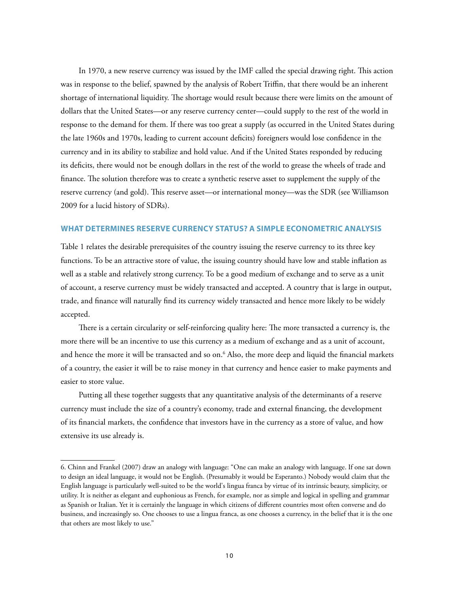In 1970, a new reserve currency was issued by the IMF called the special drawing right. This action was in response to the belief, spawned by the analysis of Robert Triffin, that there would be an inherent shortage of international liquidity. The shortage would result because there were limits on the amount of dollars that the United States—or any reserve currency center—could supply to the rest of the world in response to the demand for them. If there was too great a supply (as occurred in the United States during the late 1960s and 1970s, leading to current account deficits) foreigners would lose confidence in the currency and in its ability to stabilize and hold value. And if the United States responded by reducing its deficits, there would not be enough dollars in the rest of the world to grease the wheels of trade and finance. The solution therefore was to create a synthetic reserve asset to supplement the supply of the reserve currency (and gold). This reserve asset—or international money—was the SDR (see Williamson 2009 for a lucid history of SDRs).

# **What Determines Reserve Currency Status? A Simple Econometric Analysis**

Table 1 relates the desirable prerequisites of the country issuing the reserve currency to its three key functions. To be an attractive store of value, the issuing country should have low and stable inflation as well as a stable and relatively strong currency. To be a good medium of exchange and to serve as a unit of account, a reserve currency must be widely transacted and accepted. A country that is large in output, trade, and finance will naturally find its currency widely transacted and hence more likely to be widely accepted.

There is a certain circularity or self-reinforcing quality here: The more transacted a currency is, the more there will be an incentive to use this currency as a medium of exchange and as a unit of account, and hence the more it will be transacted and so on.6 Also, the more deep and liquid the financial markets of a country, the easier it will be to raise money in that currency and hence easier to make payments and easier to store value.

Putting all these together suggests that any quantitative analysis of the determinants of a reserve currency must include the size of a country's economy, trade and external financing, the development of its financial markets, the confidence that investors have in the currency as a store of value, and how extensive its use already is.

<sup>6.</sup> Chinn and Frankel (2007) draw an analogy with language: "One can make an analogy with language. If one sat down to design an ideal language, it would not be English. (Presumably it would be Esperanto.) Nobody would claim that the English language is particularly well-suited to be the world's lingua franca by virtue of its intrinsic beauty, simplicity, or utility. It is neither as elegant and euphonious as French, for example, nor as simple and logical in spelling and grammar as Spanish or Italian. Yet it is certainly the language in which citizens of different countries most often converse and do business, and increasingly so. One chooses to use a lingua franca, as one chooses a currency, in the belief that it is the one that others are most likely to use."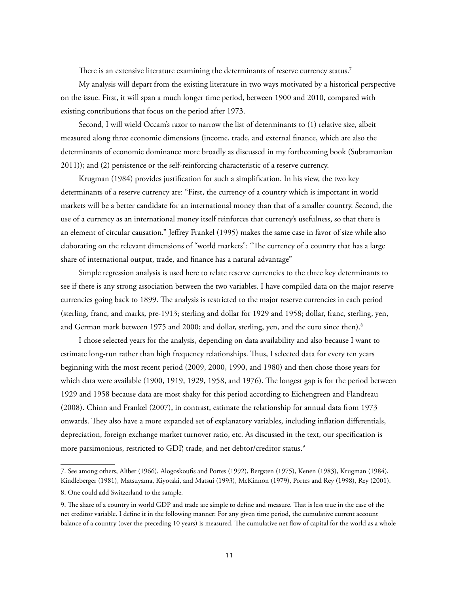There is an extensive literature examining the determinants of reserve currency status.<sup>7</sup>

My analysis will depart from the existing literature in two ways motivated by a historical perspective on the issue. First, it will span a much longer time period, between 1900 and 2010, compared with existing contributions that focus on the period after 1973.

Second, I will wield Occam's razor to narrow the list of determinants to (1) relative size, albeit measured along three economic dimensions (income, trade, and external finance, which are also the determinants of economic dominance more broadly as discussed in my forthcoming book (Subramanian 2011)); and (2) persistence or the self-reinforcing characteristic of a reserve currency.

Krugman (1984) provides justification for such a simplification. In his view, the two key determinants of a reserve currency are: "First, the currency of a country which is important in world markets will be a better candidate for an international money than that of a smaller country. Second, the use of a currency as an international money itself reinforces that currency's usefulness, so that there is an element of circular causation." Jeffrey Frankel (1995) makes the same case in favor of size while also elaborating on the relevant dimensions of "world markets": "The currency of a country that has a large share of international output, trade, and finance has a natural advantage"

Simple regression analysis is used here to relate reserve currencies to the three key determinants to see if there is any strong association between the two variables. I have compiled data on the major reserve currencies going back to 1899. The analysis is restricted to the major reserve currencies in each period (sterling, franc, and marks, pre-1913; sterling and dollar for 1929 and 1958; dollar, franc, sterling, yen, and German mark between 1975 and 2000; and dollar, sterling, yen, and the euro since then).<sup>8</sup>

I chose selected years for the analysis, depending on data availability and also because I want to estimate long-run rather than high frequency relationships. Thus, I selected data for every ten years beginning with the most recent period (2009, 2000, 1990, and 1980) and then chose those years for which data were available (1900, 1919, 1929, 1958, and 1976). The longest gap is for the period between 1929 and 1958 because data are most shaky for this period according to Eichengreen and Flandreau (2008). Chinn and Frankel (2007), in contrast, estimate the relationship for annual data from 1973 onwards. They also have a more expanded set of explanatory variables, including inflation differentials, depreciation, foreign exchange market turnover ratio, etc. As discussed in the text, our specification is more parsimonious, restricted to GDP, trade, and net debtor/creditor status. $^9$ 

8. One could add Switzerland to the sample.

<sup>7.</sup> See among others, Aliber (1966), Alogoskoufis and Portes (1992), Bergsten (1975), Kenen (1983), Krugman (1984), Kindleberger (1981), Matsuyama, Kiyotaki, and Matsui (1993), McKinnon (1979), Portes and Rey (1998), Rey (2001).

<sup>9.</sup> The share of a country in world GDP and trade are simple to define and measure. That is less true in the case of the net creditor variable. I define it in the following manner: For any given time period, the cumulative current account balance of a country (over the preceding 10 years) is measured. The cumulative net flow of capital for the world as a whole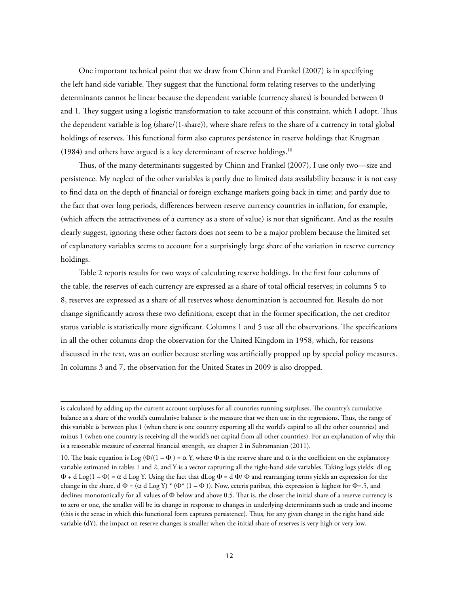One important technical point that we draw from Chinn and Frankel (2007) is in specifying the left hand side variable. They suggest that the functional form relating reserves to the underlying determinants cannot be linear because the dependent variable (currency shares) is bounded between 0 and 1. They suggest using a logistic transformation to take account of this constraint, which I adopt. Thus the dependent variable is log (share/(1-share)), where share refers to the share of a currency in total global holdings of reserves. This functional form also captures persistence in reserve holdings that Krugman (1984) and others have argued is a key determinant of reserve holdings.10

Thus, of the many determinants suggested by Chinn and Frankel (2007), I use only two—size and persistence. My neglect of the other variables is partly due to limited data availability because it is not easy to find data on the depth of financial or foreign exchange markets going back in time; and partly due to the fact that over long periods, differences between reserve currency countries in inflation, for example, (which affects the attractiveness of a currency as a store of value) is not that significant. And as the results clearly suggest, ignoring these other factors does not seem to be a major problem because the limited set of explanatory variables seems to account for a surprisingly large share of the variation in reserve currency holdings.

Table 2 reports results for two ways of calculating reserve holdings. In the first four columns of the table, the reserves of each currency are expressed as a share of total official reserves; in columns 5 to 8, reserves are expressed as a share of all reserves whose denomination is accounted for. Results do not change significantly across these two definitions, except that in the former specification, the net creditor status variable is statistically more significant. Columns 1 and 5 use all the observations. The specifications in all the other columns drop the observation for the United Kingdom in 1958, which, for reasons discussed in the text, was an outlier because sterling was artificially propped up by special policy measures. In columns 3 and 7, the observation for the United States in 2009 is also dropped.

is calculated by adding up the current account surpluses for all countries running surpluses. The country's cumulative balance as a share of the world's cumulative balance is the measure that we then use in the regressions. Thus, the range of this variable is between plus 1 (when there is one country exporting all the world's capital to all the other countries) and minus 1 (when one country is receiving all the world's net capital from all other countries). For an explanation of why this is a reasonable measure of external financial strength, see chapter 2 in Subramanian (2011).

<sup>10.</sup> The basic equation is Log (Φ/(1 – Φ) = α Y, where Φ is the reserve share and α is the coefficient on the explanatory variable estimated in tables 1 and 2, and Y is a vector capturing all the right-hand side variables. Taking logs yields: dLog Φ + d Log(1 – Φ) = α d Log Y. Using the fact that dLog Φ = d Φ/ Φ and rearranging terms yields an expression for the change in the share,  $d\Phi = (\alpha d \text{Log } Y) * (\Phi^* (1 - \Phi))$ . Now, ceteris paribus, this expression is highest for  $\Phi = 5$ , and declines monotonically for all values of Φ below and above 0.5. That is, the closer the initial share of a reserve currency is to zero or one, the smaller will be its change in response to changes in underlying determinants such as trade and income (this is the sense in which this functional form captures persistence). Thus, for any given change in the right hand side variable (dY), the impact on reserve changes is smaller when the initial share of reserves is very high or very low.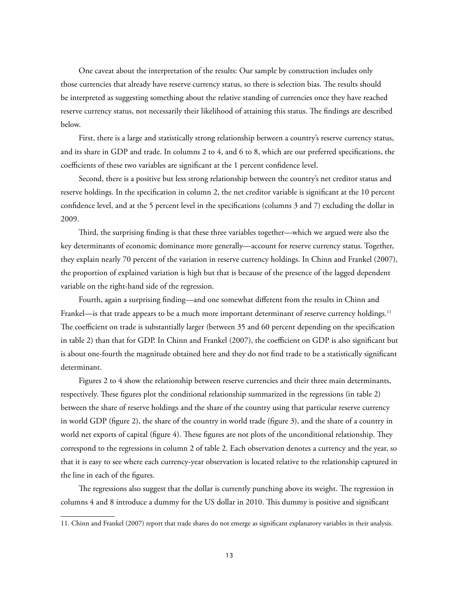One caveat about the interpretation of the results: Our sample by construction includes only those currencies that already have reserve currency status, so there is selection bias. The results should be interpreted as suggesting something about the relative standing of currencies once they have reached reserve currency status, not necessarily their likelihood of attaining this status. The findings are described below.

First, there is a large and statistically strong relationship between a country's reserve currency status, and its share in GDP and trade. In columns 2 to 4, and 6 to 8, which are our preferred specifications, the coefficients of these two variables are significant at the 1 percent confidence level.

Second, there is a positive but less strong relationship between the country's net creditor status and reserve holdings. In the specification in column 2, the net creditor variable is significant at the 10 percent confidence level, and at the 5 percent level in the specifications (columns 3 and 7) excluding the dollar in 2009.

Third, the surprising finding is that these three variables together—which we argued were also the key determinants of economic dominance more generally—account for reserve currency status. Together, they explain nearly 70 percent of the variation in reserve currency holdings. In Chinn and Frankel (2007), the proportion of explained variation is high but that is because of the presence of the lagged dependent variable on the right-hand side of the regression.

Fourth, again a surprising finding—and one somewhat different from the results in Chinn and Frankel—is that trade appears to be a much more important determinant of reserve currency holdings.<sup>11</sup> The coefficient on trade is substantially larger (between 35 and 60 percent depending on the specification in table 2) than that for GDP. In Chinn and Frankel (2007), the coefficient on GDP is also significant but is about one-fourth the magnitude obtained here and they do not find trade to be a statistically significant determinant.

Figures 2 to 4 show the relationship between reserve currencies and their three main determinants, respectively. These figures plot the conditional relationship summarized in the regressions (in table 2) between the share of reserve holdings and the share of the country using that particular reserve currency in world GDP (figure 2), the share of the country in world trade (figure 3), and the share of a country in world net exports of capital (figure 4). These figures are not plots of the unconditional relationship. They correspond to the regressions in column 2 of table 2. Each observation denotes a currency and the year, so that it is easy to see where each currency-year observation is located relative to the relationship captured in the line in each of the figures.

The regressions also suggest that the dollar is currently punching above its weight. The regression in columns 4 and 8 introduce a dummy for the US dollar in 2010. This dummy is positive and significant

<sup>11.</sup> Chinn and Frankel (2007) report that trade shares do not emerge as significant explanatory variables in their analysis.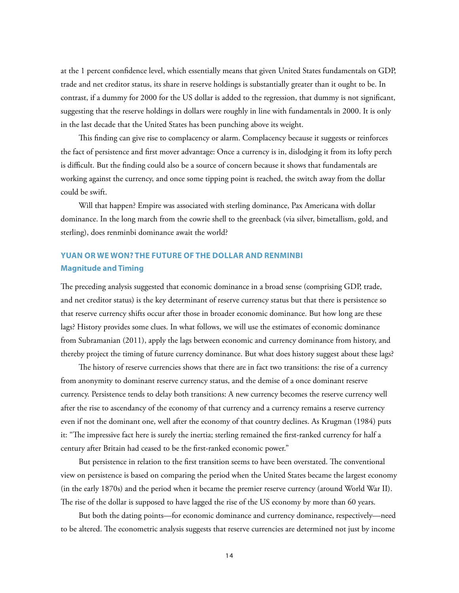at the 1 percent confidence level, which essentially means that given United States fundamentals on GDP, trade and net creditor status, its share in reserve holdings is substantially greater than it ought to be. In contrast, if a dummy for 2000 for the US dollar is added to the regression, that dummy is not significant, suggesting that the reserve holdings in dollars were roughly in line with fundamentals in 2000. It is only in the last decade that the United States has been punching above its weight.

This finding can give rise to complacency or alarm. Complacency because it suggests or reinforces the fact of persistence and first mover advantage: Once a currency is in, dislodging it from its lofty perch is difficult. But the finding could also be a source of concern because it shows that fundamentals are working against the currency, and once some tipping point is reached, the switch away from the dollar could be swift.

Will that happen? Empire was associated with sterling dominance, Pax Americana with dollar dominance. In the long march from the cowrie shell to the greenback (via silver, bimetallism, gold, and sterling), does renminbi dominance await the world?

# **Yuan or We Won? The Future of the Dollar and Renminbi Magnitude and Timing**

The preceding analysis suggested that economic dominance in a broad sense (comprising GDP, trade, and net creditor status) is the key determinant of reserve currency status but that there is persistence so that reserve currency shifts occur after those in broader economic dominance. But how long are these lags? History provides some clues. In what follows, we will use the estimates of economic dominance from Subramanian (2011), apply the lags between economic and currency dominance from history, and thereby project the timing of future currency dominance. But what does history suggest about these lags?

The history of reserve currencies shows that there are in fact two transitions: the rise of a currency from anonymity to dominant reserve currency status, and the demise of a once dominant reserve currency. Persistence tends to delay both transitions: A new currency becomes the reserve currency well after the rise to ascendancy of the economy of that currency and a currency remains a reserve currency even if not the dominant one, well after the economy of that country declines. As Krugman (1984) puts it: "The impressive fact here is surely the inertia; sterling remained the first-ranked currency for half a century after Britain had ceased to be the first-ranked economic power."

But persistence in relation to the first transition seems to have been overstated. The conventional view on persistence is based on comparing the period when the United States became the largest economy (in the early 1870s) and the period when it became the premier reserve currency (around World War II). The rise of the dollar is supposed to have lagged the rise of the US economy by more than 60 years.

But both the dating points—for economic dominance and currency dominance, respectively—need to be altered. The econometric analysis suggests that reserve currencies are determined not just by income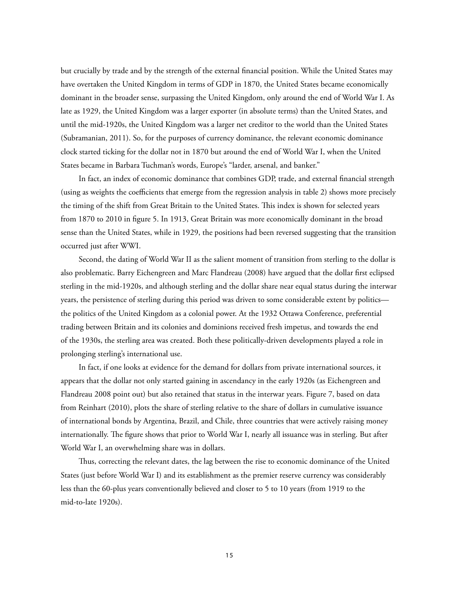but crucially by trade and by the strength of the external financial position. While the United States may have overtaken the United Kingdom in terms of GDP in 1870, the United States became economically dominant in the broader sense, surpassing the United Kingdom, only around the end of World War I. As late as 1929, the United Kingdom was a larger exporter (in absolute terms) than the United States, and until the mid-1920s, the United Kingdom was a larger net creditor to the world than the United States (Subramanian, 2011). So, for the purposes of currency dominance, the relevant economic dominance clock started ticking for the dollar not in 1870 but around the end of World War I, when the United States became in Barbara Tuchman's words, Europe's "larder, arsenal, and banker."

In fact, an index of economic dominance that combines GDP, trade, and external financial strength (using as weights the coefficients that emerge from the regression analysis in table 2) shows more precisely the timing of the shift from Great Britain to the United States. This index is shown for selected years from 1870 to 2010 in figure 5. In 1913, Great Britain was more economically dominant in the broad sense than the United States, while in 1929, the positions had been reversed suggesting that the transition occurred just after WWI.

Second, the dating of World War II as the salient moment of transition from sterling to the dollar is also problematic. Barry Eichengreen and Marc Flandreau (2008) have argued that the dollar first eclipsed sterling in the mid-1920s, and although sterling and the dollar share near equal status during the interwar years, the persistence of sterling during this period was driven to some considerable extent by politics the politics of the United Kingdom as a colonial power. At the 1932 Ottawa Conference, preferential trading between Britain and its colonies and dominions received fresh impetus, and towards the end of the 1930s, the sterling area was created. Both these politically-driven developments played a role in prolonging sterling's international use.

In fact, if one looks at evidence for the demand for dollars from private international sources, it appears that the dollar not only started gaining in ascendancy in the early 1920s (as Eichengreen and Flandreau 2008 point out) but also retained that status in the interwar years. Figure 7, based on data from Reinhart (2010), plots the share of sterling relative to the share of dollars in cumulative issuance of international bonds by Argentina, Brazil, and Chile, three countries that were actively raising money internationally. The figure shows that prior to World War I, nearly all issuance was in sterling. But after World War I, an overwhelming share was in dollars.

Thus, correcting the relevant dates, the lag between the rise to economic dominance of the United States (just before World War I) and its establishment as the premier reserve currency was considerably less than the 60-plus years conventionally believed and closer to 5 to 10 years (from 1919 to the mid-to-late 1920s).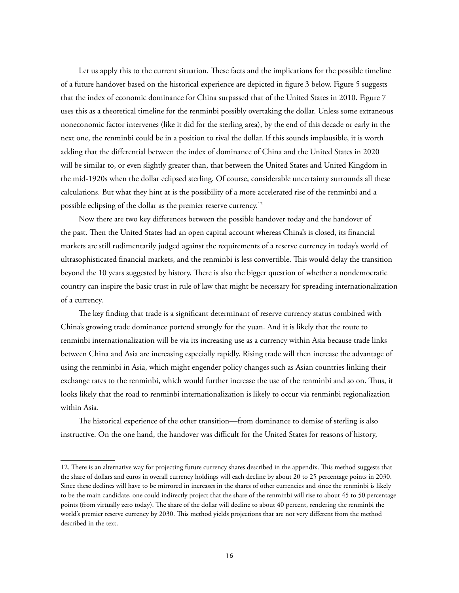Let us apply this to the current situation. These facts and the implications for the possible timeline of a future handover based on the historical experience are depicted in figure 3 below. Figure 5 suggests that the index of economic dominance for China surpassed that of the United States in 2010. Figure 7 uses this as a theoretical timeline for the renminbi possibly overtaking the dollar. Unless some extraneous noneconomic factor intervenes (like it did for the sterling area), by the end of this decade or early in the next one, the renminbi could be in a position to rival the dollar. If this sounds implausible, it is worth adding that the differential between the index of dominance of China and the United States in 2020 will be similar to, or even slightly greater than, that between the United States and United Kingdom in the mid-1920s when the dollar eclipsed sterling. Of course, considerable uncertainty surrounds all these calculations. But what they hint at is the possibility of a more accelerated rise of the renminbi and a possible eclipsing of the dollar as the premier reserve currency.12

Now there are two key differences between the possible handover today and the handover of the past. Then the United States had an open capital account whereas China's is closed, its financial markets are still rudimentarily judged against the requirements of a reserve currency in today's world of ultrasophisticated financial markets, and the renminbi is less convertible. This would delay the transition beyond the 10 years suggested by history. There is also the bigger question of whether a nondemocratic country can inspire the basic trust in rule of law that might be necessary for spreading internationalization of a currency.

The key finding that trade is a significant determinant of reserve currency status combined with China's growing trade dominance portend strongly for the yuan. And it is likely that the route to renminbi internationalization will be via its increasing use as a currency within Asia because trade links between China and Asia are increasing especially rapidly. Rising trade will then increase the advantage of using the renminbi in Asia, which might engender policy changes such as Asian countries linking their exchange rates to the renminbi, which would further increase the use of the renminbi and so on. Thus, it looks likely that the road to renminbi internationalization is likely to occur via renminbi regionalization within Asia.

The historical experience of the other transition—from dominance to demise of sterling is also instructive. On the one hand, the handover was difficult for the United States for reasons of history,

<sup>12.</sup> There is an alternative way for projecting future currency shares described in the appendix. This method suggests that the share of dollars and euros in overall currency holdings will each decline by about 20 to 25 percentage points in 2030. Since these declines will have to be mirrored in increases in the shares of other currencies and since the renminbi is likely to be the main candidate, one could indirectly project that the share of the renminbi will rise to about 45 to 50 percentage points (from virtually zero today). The share of the dollar will decline to about 40 percent, rendering the renminbi the world's premier reserve currency by 2030. This method yields projections that are not very different from the method described in the text.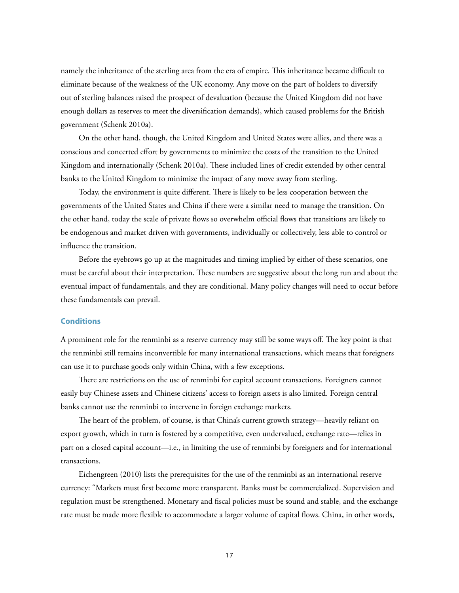namely the inheritance of the sterling area from the era of empire. This inheritance became difficult to eliminate because of the weakness of the UK economy. Any move on the part of holders to diversify out of sterling balances raised the prospect of devaluation (because the United Kingdom did not have enough dollars as reserves to meet the diversification demands), which caused problems for the British government (Schenk 2010a).

On the other hand, though, the United Kingdom and United States were allies, and there was a conscious and concerted effort by governments to minimize the costs of the transition to the United Kingdom and internationally (Schenk 2010a). These included lines of credit extended by other central banks to the United Kingdom to minimize the impact of any move away from sterling.

Today, the environment is quite different. There is likely to be less cooperation between the governments of the United States and China if there were a similar need to manage the transition. On the other hand, today the scale of private flows so overwhelm official flows that transitions are likely to be endogenous and market driven with governments, individually or collectively, less able to control or influence the transition.

Before the eyebrows go up at the magnitudes and timing implied by either of these scenarios, one must be careful about their interpretation. These numbers are suggestive about the long run and about the eventual impact of fundamentals, and they are conditional. Many policy changes will need to occur before these fundamentals can prevail.

# **Conditions**

A prominent role for the renminbi as a reserve currency may still be some ways off. The key point is that the renminbi still remains inconvertible for many international transactions, which means that foreigners can use it to purchase goods only within China, with a few exceptions.

There are restrictions on the use of renminbi for capital account transactions. Foreigners cannot easily buy Chinese assets and Chinese citizens' access to foreign assets is also limited. Foreign central banks cannot use the renminbi to intervene in foreign exchange markets.

The heart of the problem, of course, is that China's current growth strategy—heavily reliant on export growth, which in turn is fostered by a competitive, even undervalued, exchange rate—relies in part on a closed capital account—i.e., in limiting the use of renminbi by foreigners and for international transactions.

Eichengreen (2010) lists the prerequisites for the use of the renminbi as an international reserve currency: "Markets must first become more transparent. Banks must be commercialized. Supervision and regulation must be strengthened. Monetary and fiscal policies must be sound and stable, and the exchange rate must be made more flexible to accommodate a larger volume of capital flows. China, in other words,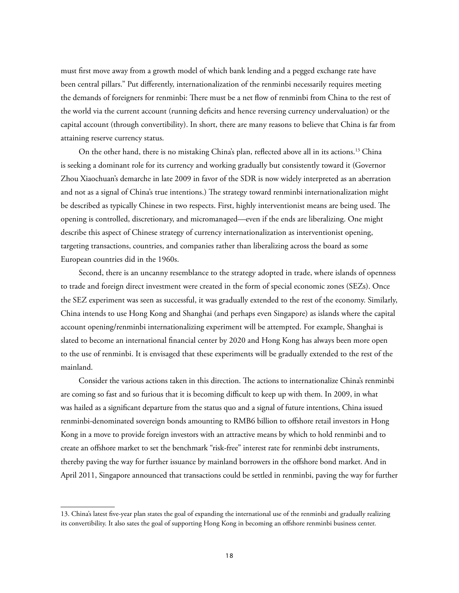must first move away from a growth model of which bank lending and a pegged exchange rate have been central pillars." Put differently, internationalization of the renminbi necessarily requires meeting the demands of foreigners for renminbi: There must be a net flow of renminbi from China to the rest of the world via the current account (running deficits and hence reversing currency undervaluation) or the capital account (through convertibility). In short, there are many reasons to believe that China is far from attaining reserve currency status.

On the other hand, there is no mistaking China's plan, reflected above all in its actions.<sup>13</sup> China is seeking a dominant role for its currency and working gradually but consistently toward it (Governor Zhou Xiaochuan's demarche in late 2009 in favor of the SDR is now widely interpreted as an aberration and not as a signal of China's true intentions.) The strategy toward renminbi internationalization might be described as typically Chinese in two respects. First, highly interventionist means are being used. The opening is controlled, discretionary, and micromanaged—even if the ends are liberalizing. One might describe this aspect of Chinese strategy of currency internationalization as interventionist opening, targeting transactions, countries, and companies rather than liberalizing across the board as some European countries did in the 1960s.

Second, there is an uncanny resemblance to the strategy adopted in trade, where islands of openness to trade and foreign direct investment were created in the form of special economic zones (SEZs). Once the SEZ experiment was seen as successful, it was gradually extended to the rest of the economy. Similarly, China intends to use Hong Kong and Shanghai (and perhaps even Singapore) as islands where the capital account opening/renminbi internationalizing experiment will be attempted. For example, Shanghai is slated to become an international financial center by 2020 and Hong Kong has always been more open to the use of renminbi. It is envisaged that these experiments will be gradually extended to the rest of the mainland.

Consider the various actions taken in this direction. The actions to internationalize China's renminbi are coming so fast and so furious that it is becoming difficult to keep up with them. In 2009, in what was hailed as a significant departure from the status quo and a signal of future intentions, China issued renminbi-denominated sovereign bonds amounting to RMB6 billion to offshore retail investors in Hong Kong in a move to provide foreign investors with an attractive means by which to hold renminbi and to create an offshore market to set the benchmark "risk-free" interest rate for renminbi debt instruments, thereby paving the way for further issuance by mainland borrowers in the offshore bond market. And in April 2011, Singapore announced that transactions could be settled in renminbi, paving the way for further

<sup>13.</sup> China's latest five-year plan states the goal of expanding the international use of the renminbi and gradually realizing its convertibility. It also sates the goal of supporting Hong Kong in becoming an offshore renminbi business center.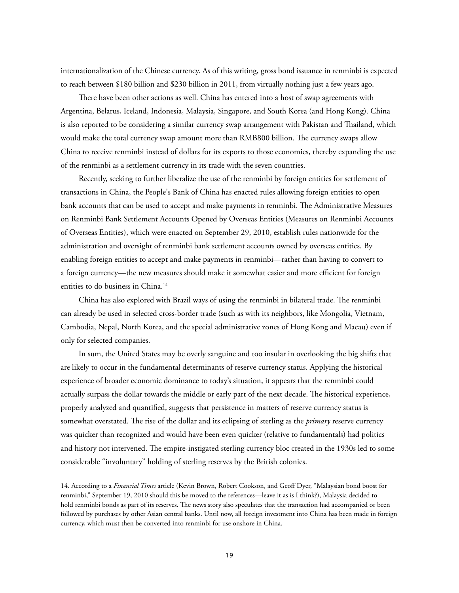internationalization of the Chinese currency. As of this writing, gross bond issuance in renminbi is expected to reach between \$180 billion and \$230 billion in 2011, from virtually nothing just a few years ago.

There have been other actions as well. China has entered into a host of swap agreements with Argentina, Belarus, Iceland, Indonesia, Malaysia, Singapore, and South Korea (and Hong Kong). China is also reported to be considering a similar currency swap arrangement with Pakistan and Thailand, which would make the total currency swap amount more than RMB800 billion. The currency swaps allow China to receive renminbi instead of dollars for its exports to those economies, thereby expanding the use of the renminbi as a settlement currency in its trade with the seven countries.

Recently, seeking to further liberalize the use of the renminbi by foreign entities for settlement of transactions in China, the People's Bank of China has enacted rules allowing foreign entities to open bank accounts that can be used to accept and make payments in renminbi. The Administrative Measures on Renminbi Bank Settlement Accounts Opened by Overseas Entities (Measures on Renminbi Accounts of Overseas Entities), which were enacted on September 29, 2010, establish rules nationwide for the administration and oversight of renminbi bank settlement accounts owned by overseas entities. By enabling foreign entities to accept and make payments in renminbi—rather than having to convert to a foreign currency—the new measures should make it somewhat easier and more efficient for foreign entities to do business in China.<sup>14</sup>

China has also explored with Brazil ways of using the renminbi in bilateral trade. The renminbi can already be used in selected cross-border trade (such as with its neighbors, like Mongolia, Vietnam, Cambodia, Nepal, North Korea, and the special administrative zones of Hong Kong and Macau) even if only for selected companies.

In sum, the United States may be overly sanguine and too insular in overlooking the big shifts that are likely to occur in the fundamental determinants of reserve currency status. Applying the historical experience of broader economic dominance to today's situation, it appears that the renminbi could actually surpass the dollar towards the middle or early part of the next decade. The historical experience, properly analyzed and quantified, suggests that persistence in matters of reserve currency status is somewhat overstated. The rise of the dollar and its eclipsing of sterling as the *primary* reserve currency was quicker than recognized and would have been even quicker (relative to fundamentals) had politics and history not intervened. The empire-instigated sterling currency bloc created in the 1930s led to some considerable "involuntary" holding of sterling reserves by the British colonies.

<sup>14.</sup> According to a *Financial Times* article (Kevin Brown, Robert Cookson, and Geoff Dyer, "Malaysian bond boost for renminbi," September 19, 2010 should this be moved to the references—leave it as is I think?), Malaysia decided to hold renminbi bonds as part of its reserves. The news story also speculates that the transaction had accompanied or been followed by purchases by other Asian central banks. Until now, all foreign investment into China has been made in foreign currency, which must then be converted into renminbi for use onshore in China.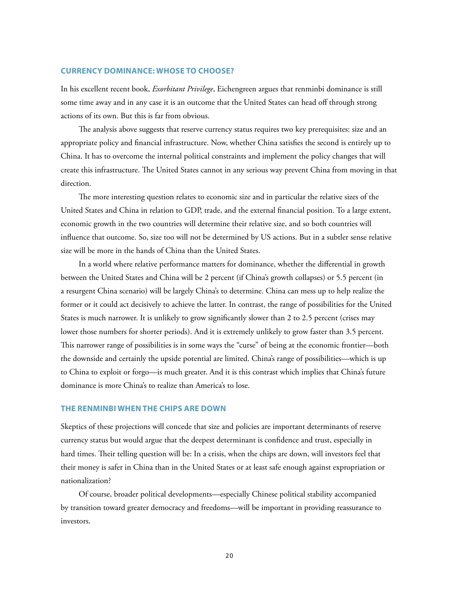### **Currency Dominance: Whose to Choose?**

In his excellent recent book, *Exorbitant Privilege*, Eichengreen argues that renminbi dominance is still some time away and in any case it is an outcome that the United States can head off through strong actions of its own. But this is far from obvious.

The analysis above suggests that reserve currency status requires two key prerequisites: size and an appropriate policy and financial infrastructure. Now, whether China satisfies the second is entirely up to China. It has to overcome the internal political constraints and implement the policy changes that will create this infrastructure. The United States cannot in any serious way prevent China from moving in that direction.

The more interesting question relates to economic size and in particular the relative sizes of the United States and China in relation to GDP, trade, and the external financial position. To a large extent, economic growth in the two countries will determine their relative size, and so both countries will influence that outcome. So, size too will not be determined by US actions. But in a subtler sense relative size will be more in the hands of China than the United States.

In a world where relative performance matters for dominance, whether the differential in growth between the United States and China will be 2 percent (if China's growth collapses) or 5.5 percent (in a resurgent China scenario) will be largely China's to determine. China can mess up to help realize the former or it could act decisively to achieve the latter. In contrast, the range of possibilities for the United States is much narrower. It is unlikely to grow significantly slower than 2 to 2.5 percent (crises may lower those numbers for shorter periods). And it is extremely unlikely to grow faster than 3.5 percent. This narrower range of possibilities is in some ways the "curse" of being at the economic frontier—both the downside and certainly the upside potential are limited. China's range of possibilities—which is up to China to exploit or forgo—is much greater. And it is this contrast which implies that China's future dominance is more China's to realize than America's to lose.

# **The Renminbi When the Chips are Down**

Skeptics of these projections will concede that size and policies are important determinants of reserve currency status but would argue that the deepest determinant is confidence and trust, especially in hard times. Their telling question will be: In a crisis, when the chips are down, will investors feel that their money is safer in China than in the United States or at least safe enough against expropriation or nationalization?

Of course, broader political developments—especially Chinese political stability accompanied by transition toward greater democracy and freedoms—will be important in providing reassurance to investors.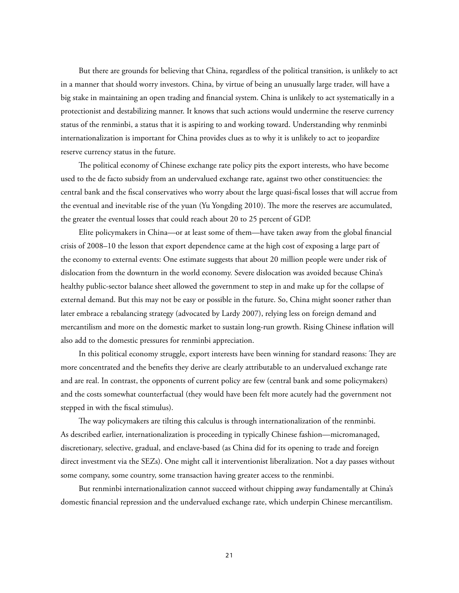But there are grounds for believing that China, regardless of the political transition, is unlikely to act in a manner that should worry investors. China, by virtue of being an unusually large trader, will have a big stake in maintaining an open trading and financial system. China is unlikely to act systematically in a protectionist and destabilizing manner. It knows that such actions would undermine the reserve currency status of the renminbi, a status that it is aspiring to and working toward. Understanding why renminbi internationalization is important for China provides clues as to why it is unlikely to act to jeopardize reserve currency status in the future.

The political economy of Chinese exchange rate policy pits the export interests, who have become used to the de facto subsidy from an undervalued exchange rate, against two other constituencies: the central bank and the fiscal conservatives who worry about the large quasi-fiscal losses that will accrue from the eventual and inevitable rise of the yuan (Yu Yongding 2010). The more the reserves are accumulated, the greater the eventual losses that could reach about 20 to 25 percent of GDP.

Elite policymakers in China—or at least some of them—have taken away from the global financial crisis of 2008–10 the lesson that export dependence came at the high cost of exposing a large part of the economy to external events: One estimate suggests that about 20 million people were under risk of dislocation from the downturn in the world economy. Severe dislocation was avoided because China's healthy public-sector balance sheet allowed the government to step in and make up for the collapse of external demand. But this may not be easy or possible in the future. So, China might sooner rather than later embrace a rebalancing strategy (advocated by Lardy 2007), relying less on foreign demand and mercantilism and more on the domestic market to sustain long-run growth. Rising Chinese inflation will also add to the domestic pressures for renminbi appreciation.

In this political economy struggle, export interests have been winning for standard reasons: They are more concentrated and the benefits they derive are clearly attributable to an undervalued exchange rate and are real. In contrast, the opponents of current policy are few (central bank and some policymakers) and the costs somewhat counterfactual (they would have been felt more acutely had the government not stepped in with the fiscal stimulus).

The way policymakers are tilting this calculus is through internationalization of the renminbi. As described earlier, internationalization is proceeding in typically Chinese fashion—micromanaged, discretionary, selective, gradual, and enclave-based (as China did for its opening to trade and foreign direct investment via the SEZs). One might call it interventionist liberalization. Not a day passes without some company, some country, some transaction having greater access to the renminbi.

But renminbi internationalization cannot succeed without chipping away fundamentally at China's domestic financial repression and the undervalued exchange rate, which underpin Chinese mercantilism.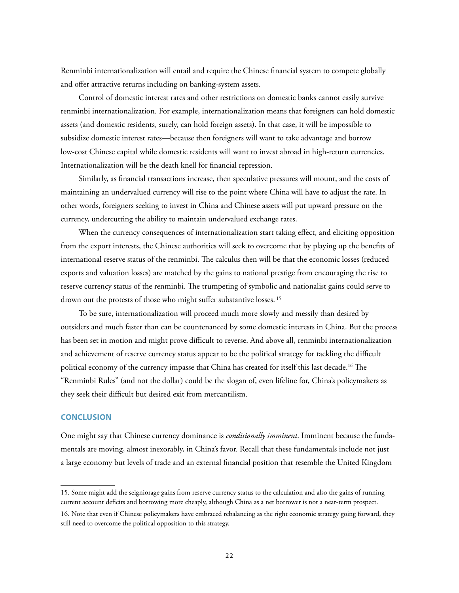Renminbi internationalization will entail and require the Chinese financial system to compete globally and offer attractive returns including on banking-system assets.

Control of domestic interest rates and other restrictions on domestic banks cannot easily survive renminbi internationalization. For example, internationalization means that foreigners can hold domestic assets (and domestic residents, surely, can hold foreign assets). In that case, it will be impossible to subsidize domestic interest rates—because then foreigners will want to take advantage and borrow low-cost Chinese capital while domestic residents will want to invest abroad in high-return currencies. Internationalization will be the death knell for financial repression.

Similarly, as financial transactions increase, then speculative pressures will mount, and the costs of maintaining an undervalued currency will rise to the point where China will have to adjust the rate. In other words, foreigners seeking to invest in China and Chinese assets will put upward pressure on the currency, undercutting the ability to maintain undervalued exchange rates.

When the currency consequences of internationalization start taking effect, and eliciting opposition from the export interests, the Chinese authorities will seek to overcome that by playing up the benefits of international reserve status of the renminbi. The calculus then will be that the economic losses (reduced exports and valuation losses) are matched by the gains to national prestige from encouraging the rise to reserve currency status of the renminbi. The trumpeting of symbolic and nationalist gains could serve to drown out the protests of those who might suffer substantive losses.<sup>15</sup>

To be sure, internationalization will proceed much more slowly and messily than desired by outsiders and much faster than can be countenanced by some domestic interests in China. But the process has been set in motion and might prove difficult to reverse. And above all, renminbi internationalization and achievement of reserve currency status appear to be the political strategy for tackling the difficult political economy of the currency impasse that China has created for itself this last decade.<sup>16</sup> The "Renminbi Rules" (and not the dollar) could be the slogan of, even lifeline for, China's policymakers as they seek their difficult but desired exit from mercantilism.

#### **Conclusion**

One might say that Chinese currency dominance is *conditionally imminent*. Imminent because the fundamentals are moving, almost inexorably, in China's favor. Recall that these fundamentals include not just a large economy but levels of trade and an external financial position that resemble the United Kingdom

<sup>15.</sup> Some might add the seigniorage gains from reserve currency status to the calculation and also the gains of running current account deficits and borrowing more cheaply, although China as a net borrower is not a near-term prospect.

<sup>16.</sup> Note that even if Chinese policymakers have embraced rebalancing as the right economic strategy going forward, they still need to overcome the political opposition to this strategy.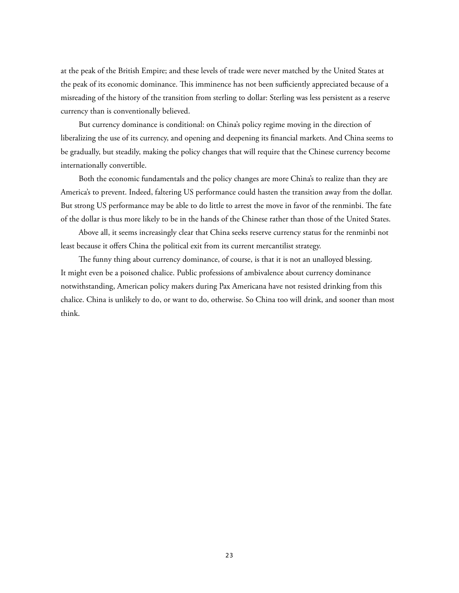at the peak of the British Empire; and these levels of trade were never matched by the United States at the peak of its economic dominance. This imminence has not been sufficiently appreciated because of a misreading of the history of the transition from sterling to dollar: Sterling was less persistent as a reserve currency than is conventionally believed.

But currency dominance is conditional: on China's policy regime moving in the direction of liberalizing the use of its currency, and opening and deepening its financial markets. And China seems to be gradually, but steadily, making the policy changes that will require that the Chinese currency become internationally convertible.

Both the economic fundamentals and the policy changes are more China's to realize than they are America's to prevent. Indeed, faltering US performance could hasten the transition away from the dollar. But strong US performance may be able to do little to arrest the move in favor of the renminbi. The fate of the dollar is thus more likely to be in the hands of the Chinese rather than those of the United States.

Above all, it seems increasingly clear that China seeks reserve currency status for the renminbi not least because it offers China the political exit from its current mercantilist strategy.

The funny thing about currency dominance, of course, is that it is not an unalloyed blessing. It might even be a poisoned chalice. Public professions of ambivalence about currency dominance notwithstanding, American policy makers during Pax Americana have not resisted drinking from this chalice. China is unlikely to do, or want to do, otherwise. So China too will drink, and sooner than most think.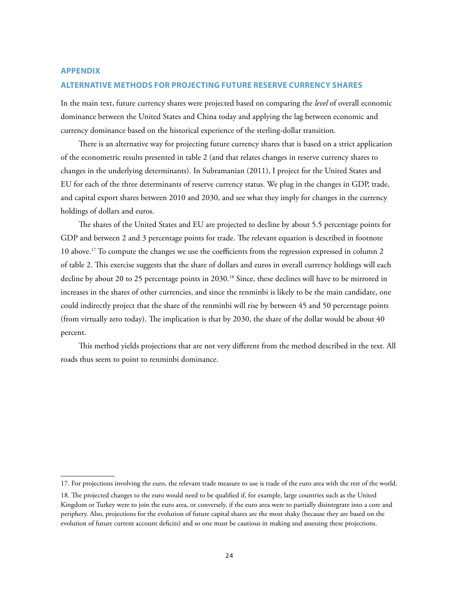#### **Appendix**

#### **Alternative Methods for Projecting Future Reserve Currency Shares**

In the main text, future currency shares were projected based on comparing the *level* of overall economic dominance between the United States and China today and applying the lag between economic and currency dominance based on the historical experience of the sterling-dollar transition.

There is an alternative way for projecting future currency shares that is based on a strict application of the econometric results presented in table 2 (and that relates changes in reserve currency shares to changes in the underlying determinants). In Subramanian (2011), I project for the United States and EU for each of the three determinants of reserve currency status. We plug in the changes in GDP, trade, and capital export shares between 2010 and 2030, and see what they imply for changes in the currency holdings of dollars and euros.

The shares of the United States and EU are projected to decline by about 5.5 percentage points for GDP and between 2 and 3 percentage points for trade. The relevant equation is described in footnote 10 above.<sup>17</sup> To compute the changes we use the coefficients from the regression expressed in column 2 of table 2. This exercise suggests that the share of dollars and euros in overall currency holdings will each decline by about 20 to 25 percentage points in 2030.<sup>18</sup> Since, these declines will have to be mirrored in increases in the shares of other currencies, and since the renminbi is likely to be the main candidate, one could indirectly project that the share of the renminbi will rise by between 45 and 50 percentage points (from virtually zero today). The implication is that by 2030, the share of the dollar would be about 40 percent.

This method yields projections that are not very different from the method described in the text. All roads thus seem to point to renminbi dominance.

<sup>17.</sup> For projections involving the euro, the relevant trade measure to use is trade of the euro area with the rest of the world.

<sup>18.</sup> The projected changes to the euro would need to be qualified if, for example, large countries such as the United Kingdom or Turkey were to join the euro area, or conversely, if the euro area were to partially disintegrate into a core and periphery. Also, projections for the evolution of future capital shares are the most shaky (because they are based on the evolution of future current account deficits) and so one must be cautious in making and assessing these projections.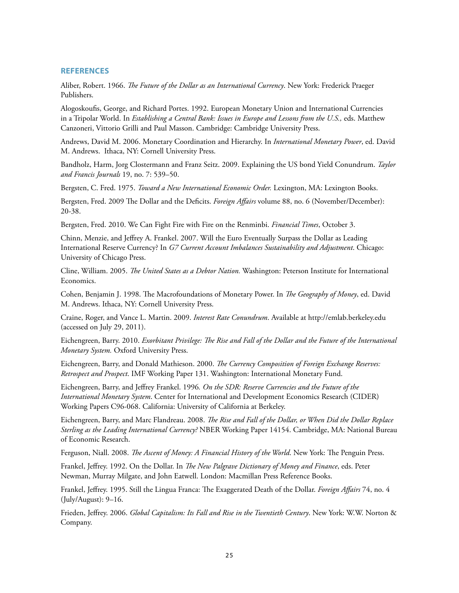# **References**

Aliber, Robert. 1966. *The Future of the Dollar as an International Currency*. New York: Frederick Praeger Publishers.

Alogoskoufis, George, and Richard Portes. 1992. European Monetary Union and International Currencies in a Tripolar World. In *Establishing a Central Bank: Issues in Europe and Lessons from the U.S.,* eds. Matthew Canzoneri, Vittorio Grilli and Paul Masson. Cambridge: Cambridge University Press.

Andrews, David M. 2006. Monetary Coordination and Hierarchy. In *International Monetary Power*, ed. David M. Andrews. Ithaca, NY: Cornell University Press.

Bandholz, Harm, Jorg Clostermann and Franz Seitz. 2009. Explaining the US bond Yield Conundrum. *Taylor and Francis Journals* 19, no. 7: 539–50.

Bergsten, C. Fred. 1975. *Toward a New International Economic Order.* Lexington, MA: Lexington Books.

Bergsten, Fred. 2009 The Dollar and the Deficits. *Foreign Affairs* volume 88, no. 6 (November/December): 20-38.

Bergsten, Fred. 2010. We Can Fight Fire with Fire on the Renminbi. *Financial Times*, October 3.

Chinn, Menzie, and Jeffrey A. Frankel. 2007. Will the Euro Eventually Surpass the Dollar as Leading International Reserve Currency? In *G7 Current Account Imbalances Sustainability and Adjustment*. Chicago: University of Chicago Press.

Cline, William. 2005. *The United States as a Debtor Nation.* Washington: Peterson Institute for International Economics.

Cohen, Benjamin J. 1998. The Macrofoundations of Monetary Power. In *The Geography of Money*, ed. David M. Andrews. Ithaca, NY: Cornell University Press.

Craine, Roger, and Vance L. Martin. 2009. *Interest Rate Conundrum*. Available at http://emlab.berkeley.edu (accessed on July 29, 2011).

Eichengreen, Barry. 2010. *Exorbitant Privilege: The Rise and Fall of the Dollar and the Future of the International Monetary System.* Oxford University Press.

Eichengreen, Barry, and Donald Mathieson. 2000. *The Currency Composition of Foreign Exchange Reserves: Retrospect and Prospect*. IMF Working Paper 131. Washington: International Monetary Fund.

Eichengreen, Barry, and Jeffrey Frankel. 1996*. On the SDR: Reserve Currencies and the Future of the International Monetary System*. Center for International and Development Economics Research (CIDER) Working Papers C96-068. California: University of California at Berkeley.

Eichengreen, Barry, and Marc Flandreau. 2008. *The Rise and Fall of the Dollar, or When Did the Dollar Replace Sterling as the Leading International Currency?* NBER Working Paper 14154. Cambridge, MA: National Bureau of Economic Research.

Ferguson, Niall. 2008. *The Ascent of Money: A Financial History of the World*. New York: The Penguin Press.

Frankel, Jeffrey. 1992. On the Dollar. In *The New Palgrave Dictionary of Money and Finance*, eds. Peter Newman, Murray Milgate, and John Eatwell. London: Macmillan Press Reference Books.

Frankel, Jeffrey. 1995. Still the Lingua Franca: The Exaggerated Death of the Dollar. *Foreign Affairs* 74, no. 4 (July/August): 9–16.

Frieden, Jeffrey. 2006. *Global Capitalism: Its Fall and Rise in the Twentieth Century*. New York: W.W. Norton & Company.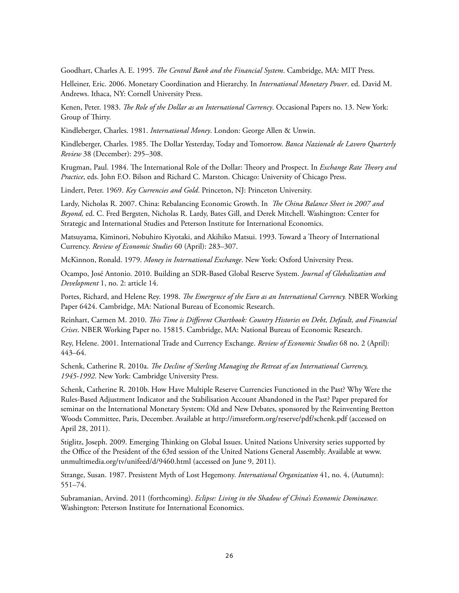Goodhart, Charles A. E. 1995. *The Central Bank and the Financial System*. Cambridge, MA: MIT Press.

Helleiner, Eric. 2006. Monetary Coordination and Hierarchy. In *International Monetary Power*. ed. David M. Andrews. Ithaca, NY: Cornell University Press.

Kenen, Peter. 1983. *The Role of the Dollar as an International Currency*. Occasional Papers no. 13. New York: Group of Thirty.

Kindleberger, Charles. 1981. *International Money*. London: George Allen & Unwin.

Kindleberger, Charles. 1985. The Dollar Yesterday, Today and Tomorrow. *Banca Nazionale de Lavoro Quarterly Review* 38 (December): 295–308.

Krugman, Paul. 1984. The International Role of the Dollar: Theory and Prospect. In *Exchange Rate Theory and Practice*, eds. John F.O. Bilson and Richard C. Marston. Chicago: University of Chicago Press.

Lindert, Peter. 1969. *Key Currencies and Gold*. Princeton, NJ: Princeton University.

Lardy, Nicholas R. 2007. China: Rebalancing Economic Growth. In *The China Balance Sheet in 2007 and Beyond,* ed. C. Fred Bergsten, Nicholas R. Lardy, Bates Gill, and Derek Mitchell. Washington: Center for Strategic and International Studies and Peterson Institute for International Economics.

Matsuyama, Kiminori, Nobuhiro Kiyotaki, and Akihiko Matsui. 1993. Toward a Theory of International Currency. *Review of Economic Studies* 60 (April): 283–307.

McKinnon, Ronald. 1979. *Money in International Exchange*. New York: Oxford University Press.

Ocampo, José Antonio. 2010. Building an SDR-Based Global Reserve System. *Journal of Globalization and Development* 1, no. 2: article 14.

Portes, Richard, and Helene Rey. 1998. *The Emergence of the Euro as an International Currency.* NBER Working Paper 6424. Cambridge, MA: National Bureau of Economic Research.

Reinhart, Carmen M. 2010. *This Time is Different Chartbook: Country Histories on Debt, Default, and Financial Crises*. NBER Working Paper no. 15815. Cambridge, MA: National Bureau of Economic Research.

Rey, Helene. 2001. International Trade and Currency Exchange. *Review of Economic Studies* 68 no. 2 (April): 443–64.

Schenk, Catherine R. 2010a. *The Decline of Sterling Managing the Retreat of an International Currency, 1945-1992*. New York: Cambridge University Press.

Schenk, Catherine R. 2010b. How Have Multiple Reserve Currencies Functioned in the Past? Why Were the Rules-Based Adjustment Indicator and the Stabilisation Account Abandoned in the Past? Paper prepared for seminar on the International Monetary System: Old and New Debates, sponsored by the Reinventing Bretton Woods Committee, Paris, December. Available at http://imsreform.org/reserve/pdf/schenk.pdf (accessed on April 28, 2011).

Stiglitz, Joseph. 2009. Emerging Thinking on Global Issues. United Nations University series supported by the Office of the President of the 63rd session of the United Nations General Assembly. Available at www. unmultimedia.org/tv/unifeed/d/9460.html (accessed on June 9, 2011).

Strange, Susan. 1987. Presistent Myth of Lost Hegemony. *International Organization* 41, no. 4, (Autumn): 551–74.

Subramanian, Arvind. 2011 (forthcoming). *Eclipse: Living in the Shadow of China's Economic Dominance.* Washington: Peterson Institute for International Economics.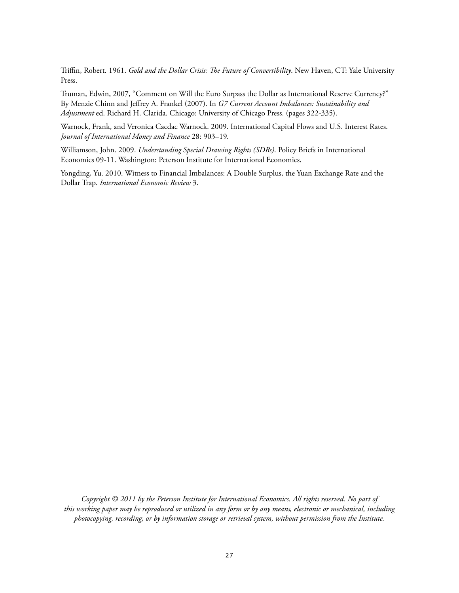Triffin, Robert. 1961. *Gold and the Dollar Crisis: The Future of Convertibility*. New Haven, CT: Yale University Press.

Truman, Edwin, 2007, "Comment on Will the Euro Surpass the Dollar as International Reserve Currency?" By Menzie Chinn and Jeffrey A. Frankel (2007). In *G7 Current Account Imbalances: Sustainability and Adjustment* ed. Richard H. Clarida. Chicago: University of Chicago Press. (pages 322-335).

Warnock, Frank, and Veronica Cacdac Warnock. 2009. International Capital Flows and U.S. Interest Rates. *Journal of International Money and Finance* 28: 903–19*.* 

Williamson, John. 2009. *Understanding Special Drawing Rights (SDRs)*. Policy Briefs in International Economics 09-11. Washington: Peterson Institute for International Economics.

Yongding, Yu. 2010. Witness to Financial Imbalances: A Double Surplus, the Yuan Exchange Rate and the Dollar Trap. *International Economic Review* 3.

*Copyright © 2011 by the Peterson Institute for International Economics. All rights reserved. No part of this working paper may be reproduced or utilized in any form or by any means, electronic or mechanical, including photocopying, recording, or by information storage or retrieval system, without permission from the Institute.*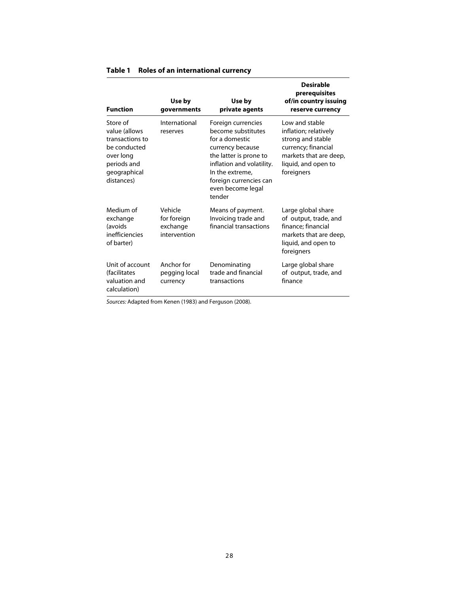| <b>Function</b>                                                                                                        | Use by<br>governments                              | Use by<br>private agents                                                                                                                                                                                          | <b>Desirable</b><br>prerequisites<br>of/in country issuing<br>reserve currency                                                                     |  |  |
|------------------------------------------------------------------------------------------------------------------------|----------------------------------------------------|-------------------------------------------------------------------------------------------------------------------------------------------------------------------------------------------------------------------|----------------------------------------------------------------------------------------------------------------------------------------------------|--|--|
| Store of<br>value (allows<br>transactions to<br>be conducted<br>over long<br>periods and<br>geographical<br>distances) | International<br>reserves                          | Foreign currencies<br>become substitutes<br>for a domestic<br>currency because<br>the latter is prone to<br>inflation and volatility.<br>In the extreme.<br>foreign currencies can<br>even become legal<br>tender | Low and stable<br>inflation; relatively<br>strong and stable<br>currency; financial<br>markets that are deep,<br>liquid, and open to<br>foreigners |  |  |
| Medium of<br>exchange<br>(avoids<br>inefficiencies<br>of barter)                                                       | Vehicle<br>for foreign<br>exchange<br>intervention | Means of payment.<br>Invoicing trade and<br>financial transactions                                                                                                                                                | Large global share<br>of output, trade, and<br>finance; financial<br>markets that are deep,<br>liquid, and open to<br>foreigners                   |  |  |
| Unit of account<br>(facilitates<br>valuation and<br>calculation)                                                       | Anchor for<br>pegging local<br>currency            | Denominating<br>trade and financial<br>transactions                                                                                                                                                               | Large global share<br>of output, trade, and<br>finance                                                                                             |  |  |

# **Table 1 Roles of an international currency**

*Sources:* Adapted from Kenen (1983) and Ferguson (2008).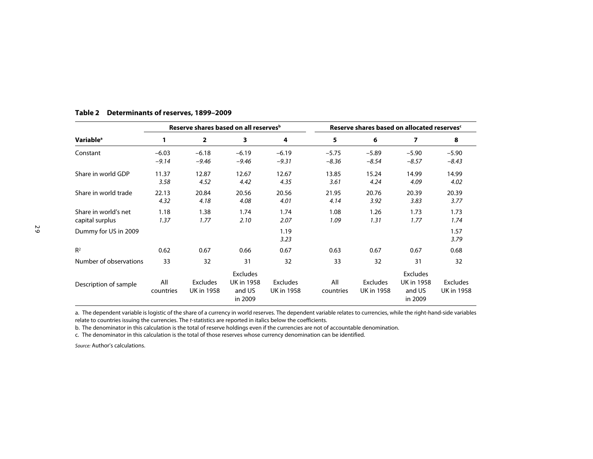|                                         | Reserve shares based on all reserves <sup>b</sup> |                                      |                                                    | Reserve shares based on allocated reserves <sup>c</sup> |                    |                                      |                                                           |                               |
|-----------------------------------------|---------------------------------------------------|--------------------------------------|----------------------------------------------------|---------------------------------------------------------|--------------------|--------------------------------------|-----------------------------------------------------------|-------------------------------|
| Variable <sup>a</sup>                   | 1                                                 | $\overline{2}$                       | 3                                                  | 4                                                       | 5                  | 6                                    | 7                                                         | 8                             |
| Constant                                | $-6.03$<br>$-9.14$                                | $-6.18$<br>$-9.46$                   | $-6.19$<br>$-9.46$                                 | $-6.19$<br>$-9.31$                                      | $-5.75$<br>$-8.36$ | $-5.89$<br>$-8.54$                   | $-5.90$<br>$-8.57$                                        | $-5.90$<br>$-8.43$            |
| Share in world GDP                      | 11.37<br>3.58                                     | 12.87<br>4.52                        | 12.67<br>4.42                                      | 12.67<br>4.35                                           | 13.85<br>3.61      | 15.24<br>4.24                        | 14.99<br>4.09                                             | 14.99<br>4.02                 |
| Share in world trade                    | 22.13<br>4.32                                     | 20.84<br>4.18                        | 20.56<br>4.08                                      | 20.56<br>4.01                                           | 21.95<br>4.14      | 20.76<br>3.92                        | 20.39<br>3.83                                             | 20.39<br>3.77                 |
| Share in world's net<br>capital surplus | 1.18<br>1.37                                      | 1.38<br>1.77                         | 1.74<br>2.10                                       | 1.74<br>2.07                                            | 1.08<br>1.09       | 1.26<br>1.31                         | 1.73<br>1.77                                              | 1.73<br>1.74                  |
| Dummy for US in 2009                    |                                                   |                                      |                                                    | 1.19<br>3.23                                            |                    |                                      |                                                           | 1.57<br>3.79                  |
| $R^2$                                   | 0.62                                              | 0.67                                 | 0.66                                               | 0.67                                                    | 0.63               | 0.67                                 | 0.67                                                      | 0.68                          |
| Number of observations                  | 33                                                | 32                                   | 31                                                 | 32                                                      | 33                 | 32                                   | 31                                                        | 32                            |
| Description of sample                   | All<br>countries                                  | <b>Excludes</b><br><b>UK in 1958</b> | Excludes<br><b>UK in 1958</b><br>and US<br>in 2009 | Excludes<br><b>UK in 1958</b>                           | All<br>countries   | <b>Excludes</b><br><b>UK in 1958</b> | <b>Excludes</b><br><b>UK in 1958</b><br>and US<br>in 2009 | Excludes<br><b>UK in 1958</b> |

#### **Table 2 Determinants of reserves, 1899–2009**

a. The dependent variable is logistic of the share of a currency in world reserves. The dependent variable relates to currencies, while the right-hand-side variables relate to countries issuing the currencies. The *t*-statistics are reported in italics below the coefficients.

b. The denominator in this calculation is the total of reserve holdings even if the currencies are not of accountable denomination.

c. The denominator in this calculation is the total of those reserves whose currency denomination can be identified.

*Source:* Author's calculations.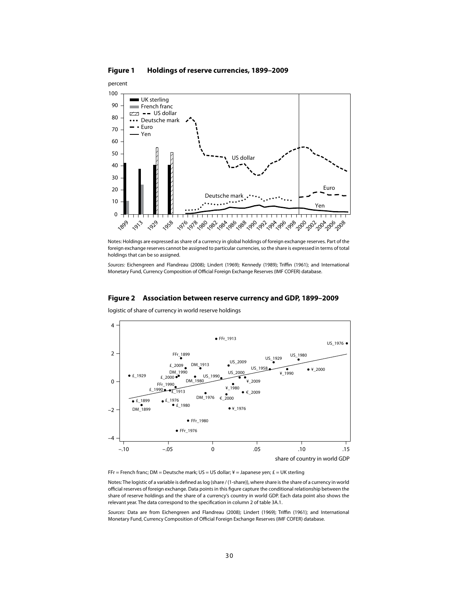

#### **Figure 3.1 Holdings of reserve currencies, 1899–2009 Figure 1**

Notes: Holdings are expressed as share of a currency in global holdings of foreign exchange reserves. Part of the foreign exchange reserves cannot be assigned to particular currencies, so the share is expressed in terms of total holdings that can be so assigned.

Sources: Eichengreen and Flandreau (2008); Lindert (1969); Kennedy (1989); Triffin (1961); and International Monetary Fund, Currency Composition of Official Foreign Exchange Reserves (IMF COFER) database.

# $\sim$  After the establishment of the Bretton Woods system in 1945, the dollar system in 1945, the dollar system in 1945, the dollar system in 1945, the dollar system in 1945, the dollar system in 1945, the dollar system in was the de facto reserve asset (even though all currencies were still denominated **Figure 2 Association between reserve currency and GDP, 1899–2009**



logistic of share of currency in world reserve holdings

FFr = French franc; DM = Deutsche mark;  $US = US$  dollar; ¥ = Japanese yen; £ = UK sterling

**58** eclipse: living in the shadow of china's economic dominance Notes: The logistic of a variable is defined as log (share / (1-share)), where share is the share of a currency in world official reserves of foreign exchange. Data points in this figure capture the conditional relationship between the share of reserve holdings and the share of a currency's country in world GDP. Each data point also shows the relevant year. The data correspond to the specification in column 2 of table 3A.1.

*Sources:* Data are from Eichengreen and Flandreau (2008); Lindert (1969); Triffin (1961); and International Monetary Fund, Currency Composition of Official Foreign Exchange Reserves (IMF COFER) database.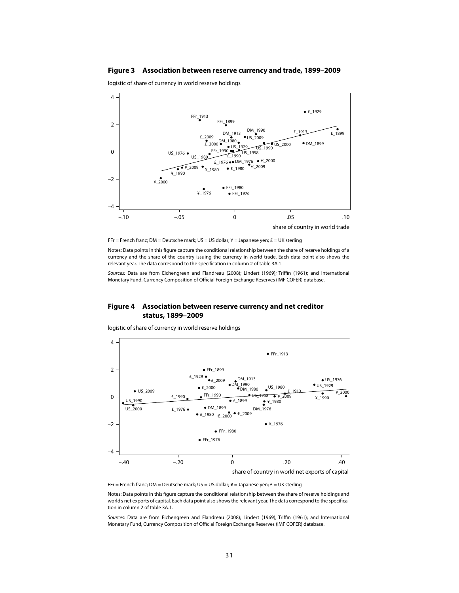# **Figure 3 Association between reserve currency and trade, 1899–2009**

logistic of share of currency in world reserve holdings



FFr = French franc; DM = Deutsche mark; US = US dollar;  $4 =$  Japanese yen;  $f = UK$  sterling

Notes: Data points in this figure capture the conditional relationship between the share of reserve holdings of a currency and the share of the country issuing the currency in world trade. Each data point also shows the relevant year. The data correspond to the specification in column 2 of table 3A.1.

*Sources:* Data are from Eichengreen and Flandreau (2008); Lindert (1969); Triffin (1961); and International Monetary Fund, Currency Composition of Official Foreign Exchange Reserves (IMF COFER) database.

# Figure 4 Association between reserve currency and net creditor **is only in the last decade that the US has been punching above its weight. The US has been punching above its weight. The US has been punching above its weight. The US has been punching above its weight. The US has been p**



 $\mathbf{r}$  to 3A.1 to 3A.3 show the relationship between reserve currencies and  $\mathbf{r}$ 

FFr = French franc; DM = Deutsche mark; US = US dollar; ¥ = Japanese yen; £ = UK sterling

Notes: Data points in this figure capture the conditional relationship between the share of reserve holdings and world's net exports of capital. Each data point also shows the relevant year. The data correspond to the specification in column 2 of table 3A.1.

*Sources:* Data are from Eichengreen and Flandreau (2008); Lindert (1969); Triffin (1961); and International Monetary Fund, Currency Composition of Official Foreign Exchange Reserves (IMF COFER) database.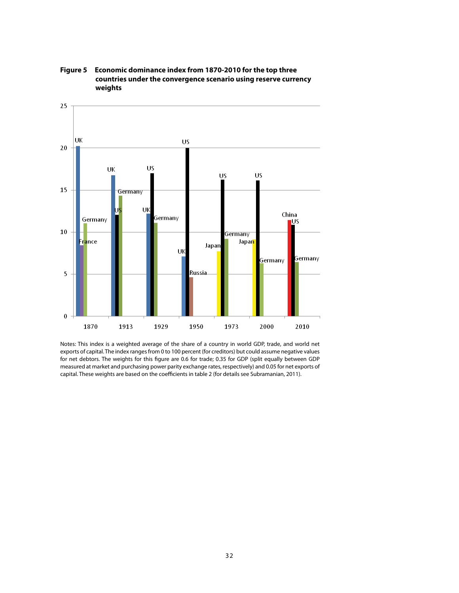

**Figure 5 Economic dominance index from 1870-2010 for the top three countries under the convergence scenario using reserve currency weights**

Notes: This index is a weighted average of the share of a country in world GDP, trade, and world net exports of capital. The index ranges from 0 to 100 percent (for creditors) but could assume negative values for net debtors. The weights for this figure are 0.6 for trade; 0.35 for GDP (split equally between GDP measured at market and purchasing power parity exchange rates, respectively) and 0.05 for net exports of capital. These weights are based on the coefficients in table 2 (for details see Subramanian, 2011).